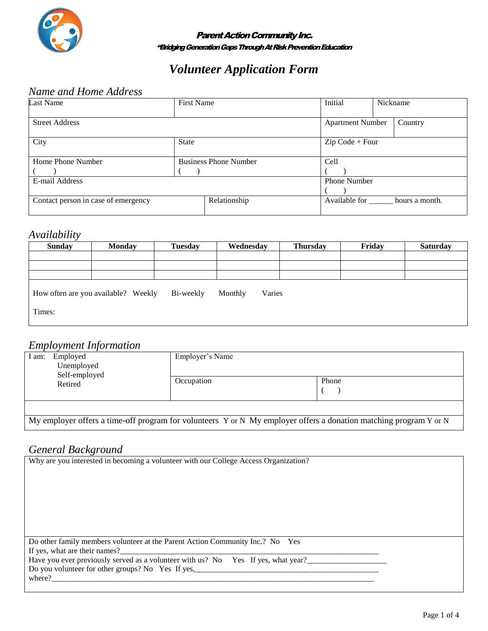

#### **Parent Action Community Inc.** "BridgingGeneration GapsThrough At Risk Prevention Education

# *Volunteer Application Form*

### *Name and Home Address*

| <b>Last Name</b>                    | <b>First Name</b>            |              | Initial                      | Nickname |         |  |
|-------------------------------------|------------------------------|--------------|------------------------------|----------|---------|--|
| <b>Street Address</b>               |                              |              | <b>Apartment Number</b>      |          | Country |  |
| City                                | <b>State</b>                 |              | $Zip Code + Four$            |          |         |  |
| Home Phone Number                   | <b>Business Phone Number</b> |              | Cell                         |          |         |  |
|                                     |                              |              |                              |          |         |  |
| E-mail Address                      |                              |              | Phone Number                 |          |         |  |
|                                     |                              |              |                              |          |         |  |
| Contact person in case of emergency |                              | Relationship | Available for hours a month. |          |         |  |

#### *Availability*

| <b>Sunday</b> | <b>Monday</b>                       | <b>Tuesday</b> | Wednesday         | <b>Thursday</b> | Friday | <b>Saturday</b> |
|---------------|-------------------------------------|----------------|-------------------|-----------------|--------|-----------------|
|               |                                     |                |                   |                 |        |                 |
|               |                                     |                |                   |                 |        |                 |
|               |                                     |                |                   |                 |        |                 |
|               | How often are you available? Weekly | Bi-weekly      | Monthly<br>Varies |                 |        |                 |
| Times:        |                                     |                |                   |                 |        |                 |

### *Employment Information*

|                                                             | L               |                                                                                                                   |  |
|-------------------------------------------------------------|-----------------|-------------------------------------------------------------------------------------------------------------------|--|
| Employed<br>I am:<br>Unemployed<br>Self-employed<br>Retired | Employer's Name |                                                                                                                   |  |
|                                                             | Occupation      | Phone                                                                                                             |  |
|                                                             |                 |                                                                                                                   |  |
|                                                             |                 | My employer offers a time-off program for volunteers Y or N My employer offers a donation matching program Y or N |  |

#### *General Background*

| Why are you interested in becoming a volunteer with our College Access Organization? |
|--------------------------------------------------------------------------------------|
|                                                                                      |
|                                                                                      |
|                                                                                      |
|                                                                                      |
|                                                                                      |
|                                                                                      |
|                                                                                      |
| Do other family members volunteer at the Parent Action Community Inc.? No Yes        |
| If yes, what are their names?                                                        |
| Have you ever previously served as a volunteer with us? No Yes If yes, what year?    |
| Do you volunteer for other groups? No Yes If yes,                                    |
| where?                                                                               |
|                                                                                      |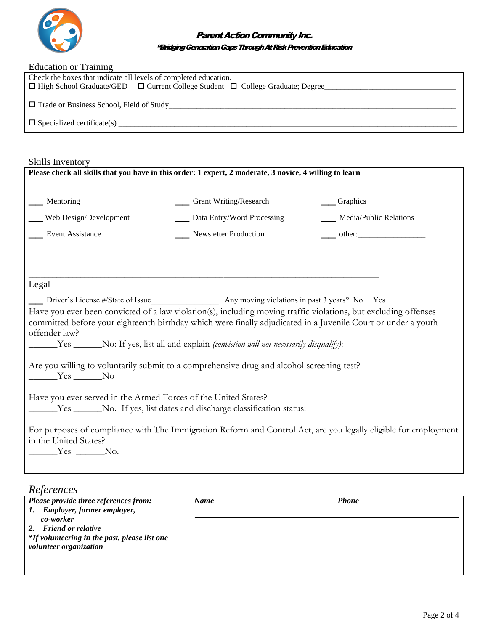

#### Parent Action Community Inc.

#### "BridgingGeneration GapsThrough At Risk Prevention Education

| Education or Training                                                                          |  |  |
|------------------------------------------------------------------------------------------------|--|--|
| Check the boxes that indicate all levels of completed education.                               |  |  |
| $\Box$ High School Graduate/GED $\Box$ Current College Student $\Box$ College Graduate; Degree |  |  |
| □ Trade or Business School, Field of Study                                                     |  |  |
|                                                                                                |  |  |

Skills Inventory

| oning meetitor<br>Please check all skills that you have in this order: 1 expert, 2 moderate, 3 novice, 4 willing to learn                                                                                                                                                                                                               |                                                                                                       |                                       |  |  |  |
|-----------------------------------------------------------------------------------------------------------------------------------------------------------------------------------------------------------------------------------------------------------------------------------------------------------------------------------------|-------------------------------------------------------------------------------------------------------|---------------------------------------|--|--|--|
| __ Mentoring                                                                                                                                                                                                                                                                                                                            | __ Grant Writing/Research                                                                             | Craphics                              |  |  |  |
| Web Design/Development                                                                                                                                                                                                                                                                                                                  | Data Entry/Word Processing                                                                            | ___ Media/Public Relations            |  |  |  |
| Event Assistance                                                                                                                                                                                                                                                                                                                        | Newsletter Production                                                                                 | $\frac{\text{other:}}{\text{other:}}$ |  |  |  |
|                                                                                                                                                                                                                                                                                                                                         |                                                                                                       |                                       |  |  |  |
| Legal                                                                                                                                                                                                                                                                                                                                   |                                                                                                       |                                       |  |  |  |
|                                                                                                                                                                                                                                                                                                                                         |                                                                                                       |                                       |  |  |  |
| Driver's License #/State of Issue<br>Any moving violations in past 3 years? No Yes<br>Have you ever been convicted of a law violation(s), including moving traffic violations, but excluding offenses<br>committed before your eighteenth birthday which were finally adjudicated in a Juvenile Court or under a youth<br>offender law? |                                                                                                       |                                       |  |  |  |
|                                                                                                                                                                                                                                                                                                                                         | [10] Yes ______No: If yes, list all and explain <i>(conviction will not necessarily disqualify)</i> : |                                       |  |  |  |
| $Yes$ No                                                                                                                                                                                                                                                                                                                                | Are you willing to voluntarily submit to a comprehensive drug and alcohol screening test?             |                                       |  |  |  |
| Have you ever served in the Armed Forces of the United States?                                                                                                                                                                                                                                                                          |                                                                                                       |                                       |  |  |  |
| _______Yes _______No. If yes, list dates and discharge classification status:                                                                                                                                                                                                                                                           |                                                                                                       |                                       |  |  |  |
| For purposes of compliance with The Immigration Reform and Control Act, are you legally eligible for employment<br>in the United States?                                                                                                                                                                                                |                                                                                                       |                                       |  |  |  |
| $Yes$ No.                                                                                                                                                                                                                                                                                                                               |                                                                                                       |                                       |  |  |  |
|                                                                                                                                                                                                                                                                                                                                         |                                                                                                       |                                       |  |  |  |

| Please provide three references from:                                   | <b>Name</b> | <b>Phone</b> |  |
|-------------------------------------------------------------------------|-------------|--------------|--|
| 1. Employer, former employer,<br>co-worker                              |             |              |  |
| 2. Friend or relative                                                   |             |              |  |
| *If volunteering in the past, please list one<br>volunteer organization |             |              |  |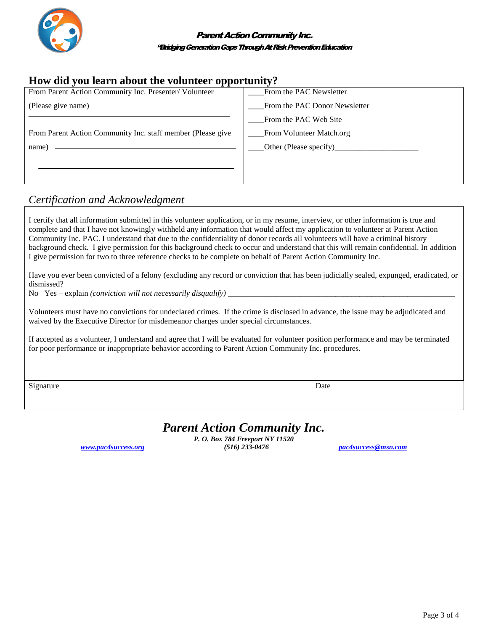

## **How did you learn about the volunteer opportunity?**

| From Parent Action Community Inc. Presenter/ Volunteer      | From the PAC Newsletter       |
|-------------------------------------------------------------|-------------------------------|
| (Please give name)                                          | From the PAC Donor Newsletter |
|                                                             | From the PAC Web Site         |
| From Parent Action Community Inc. staff member (Please give | From Volunteer Match.org      |
| name)                                                       |                               |
|                                                             |                               |
|                                                             |                               |

## *Certification and Acknowledgment*

I certify that all information submitted in this volunteer application, or in my resume, interview, or other information is true and complete and that I have not knowingly withheld any information that would affect my application to volunteer at Parent Action Community Inc. PAC. I understand that due to the confidentiality of donor records all volunteers will have a criminal history background check. I give permission for this background check to occur and understand that this will remain confidential. In addition I give permission for two to three reference checks to be complete on behalf of Parent Action Community Inc.

Have you ever been convicted of a felony (excluding any record or conviction that has been judicially sealed, expunged, eradicated, or dismissed?

No Yes – explain *(conviction will not necessarily disqualify)* 

Volunteers must have no convictions for undeclared crimes. If the crime is disclosed in advance, the issue may be adjudicated and waived by the Executive Director for misdemeanor charges under special circumstances.

If accepted as a volunteer, I understand and agree that I will be evaluated for volunteer position performance and may be terminated for poor performance or inappropriate behavior according to Parent Action Community Inc. procedures.

Signature Date Date of the Date of the United States of the Date of the Date of the Date of the Date of the United States of the United States of the United States of the United States of the United States of the United St

## *Parent Action Community Inc.*

*P. O. Box 784 Freeport NY 11520 [www.pac4success.org](http://www.pac4success.org/) (516) 233-0476 [pac4success@msn.com](mailto:pac4success@msn.com)*